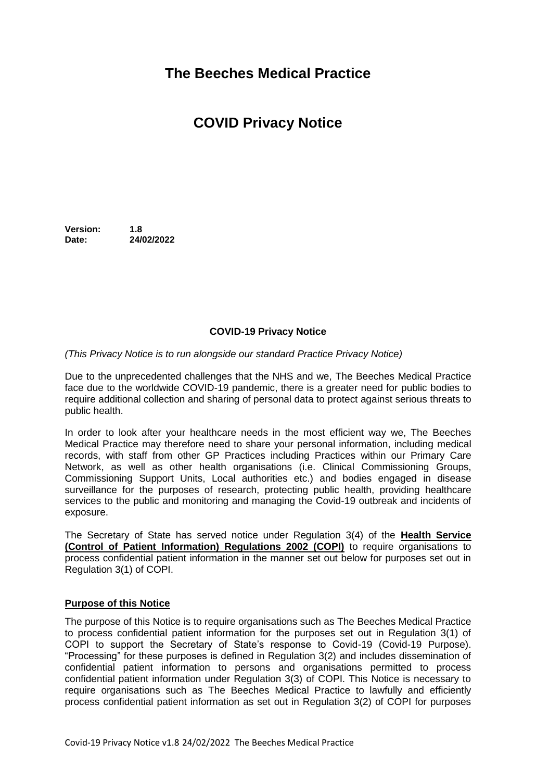## **The Beeches Medical Practice**

# **COVID Privacy Notice**

**Version: 1.8 Date: 24/02/2022**

## **COVID-19 Privacy Notice**

#### *(This Privacy Notice is to run alongside our standard Practice Privacy Notice)*

Due to the unprecedented challenges that the NHS and we, The Beeches Medical Practice face due to the worldwide COVID-19 pandemic, there is a greater need for public bodies to require additional collection and sharing of personal data to protect against serious threats to public health.

In order to look after your healthcare needs in the most efficient way we, The Beeches Medical Practice may therefore need to share your personal information, including medical records, with staff from other GP Practices including Practices within our Primary Care Network, as well as other health organisations (i.e. Clinical Commissioning Groups, Commissioning Support Units, Local authorities etc.) and bodies engaged in disease surveillance for the purposes of research, protecting public health, providing healthcare services to the public and monitoring and managing the Covid-19 outbreak and incidents of exposure.

The Secretary of State has served notice under Regulation 3(4) of the **Health Service (Control of Patient Information) Regulations 2002 (COPI)** to require organisations to process confidential patient information in the manner set out below for purposes set out in Regulation 3(1) of COPI.

#### **Purpose of this Notice**

The purpose of this Notice is to require organisations such as The Beeches Medical Practice to process confidential patient information for the purposes set out in Regulation 3(1) of COPI to support the Secretary of State's response to Covid-19 (Covid-19 Purpose). "Processing" for these purposes is defined in Regulation 3(2) and includes dissemination of confidential patient information to persons and organisations permitted to process confidential patient information under Regulation 3(3) of COPI. This Notice is necessary to require organisations such as The Beeches Medical Practice to lawfully and efficiently process confidential patient information as set out in Regulation 3(2) of COPI for purposes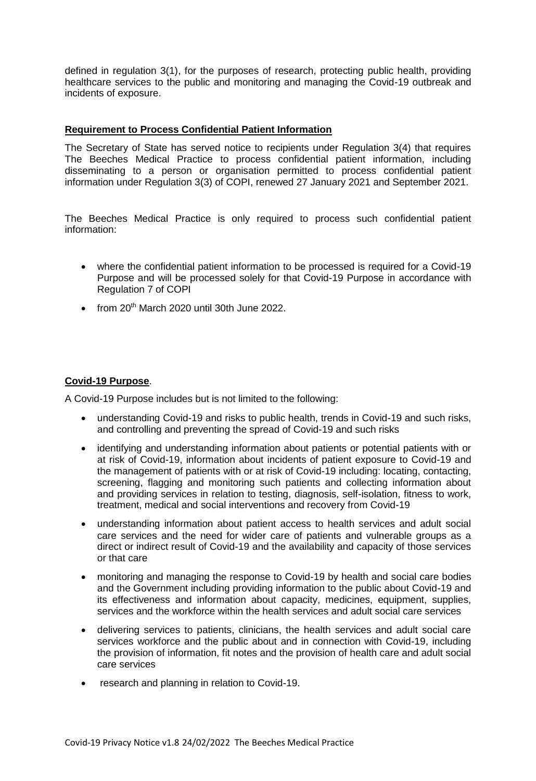defined in regulation 3(1), for the purposes of research, protecting public health, providing healthcare services to the public and monitoring and managing the Covid-19 outbreak and incidents of exposure.

## **Requirement to Process Confidential Patient Information**

The Secretary of State has served notice to recipients under Regulation 3(4) that requires The Beeches Medical Practice to process confidential patient information, including disseminating to a person or organisation permitted to process confidential patient information under Regulation 3(3) of COPI, renewed 27 January 2021 and September 2021.

The Beeches Medical Practice is only required to process such confidential patient information:

- where the confidential patient information to be processed is required for a Covid-19 Purpose and will be processed solely for that Covid-19 Purpose in accordance with Regulation 7 of COPI
- $\bullet$  from 20<sup>th</sup> March 2020 until 30th June 2022.

## **Covid-19 Purpose**.

A Covid-19 Purpose includes but is not limited to the following:

- understanding Covid-19 and risks to public health, trends in Covid-19 and such risks, and controlling and preventing the spread of Covid-19 and such risks
- identifying and understanding information about patients or potential patients with or at risk of Covid-19, information about incidents of patient exposure to Covid-19 and the management of patients with or at risk of Covid-19 including: locating, contacting, screening, flagging and monitoring such patients and collecting information about and providing services in relation to testing, diagnosis, self-isolation, fitness to work, treatment, medical and social interventions and recovery from Covid-19
- understanding information about patient access to health services and adult social care services and the need for wider care of patients and vulnerable groups as a direct or indirect result of Covid-19 and the availability and capacity of those services or that care
- monitoring and managing the response to Covid-19 by health and social care bodies and the Government including providing information to the public about Covid-19 and its effectiveness and information about capacity, medicines, equipment, supplies, services and the workforce within the health services and adult social care services
- delivering services to patients, clinicians, the health services and adult social care services workforce and the public about and in connection with Covid-19, including the provision of information, fit notes and the provision of health care and adult social care services
- research and planning in relation to Covid-19.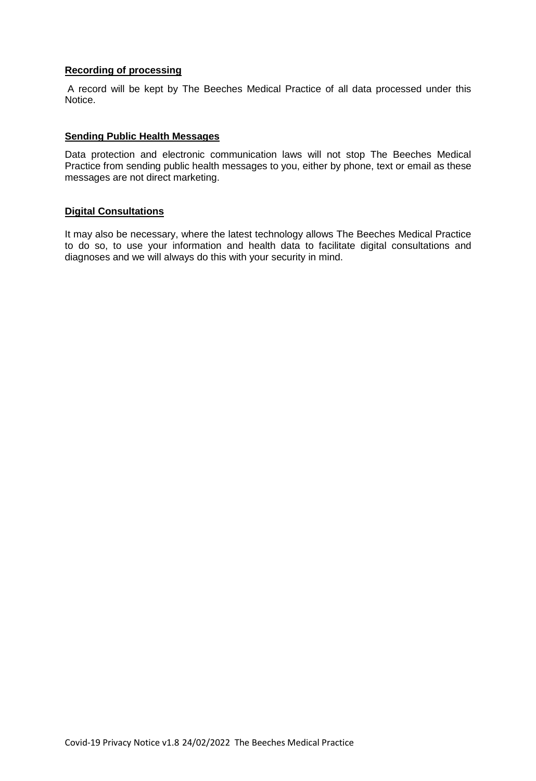## **Recording of processing**

A record will be kept by The Beeches Medical Practice of all data processed under this Notice.

#### **Sending Public Health Messages**

Data protection and electronic communication laws will not stop The Beeches Medical Practice from sending public health messages to you, either by phone, text or email as these messages are not direct marketing.

#### **Digital Consultations**

It may also be necessary, where the latest technology allows The Beeches Medical Practice to do so, to use your information and health data to facilitate digital consultations and diagnoses and we will always do this with your security in mind.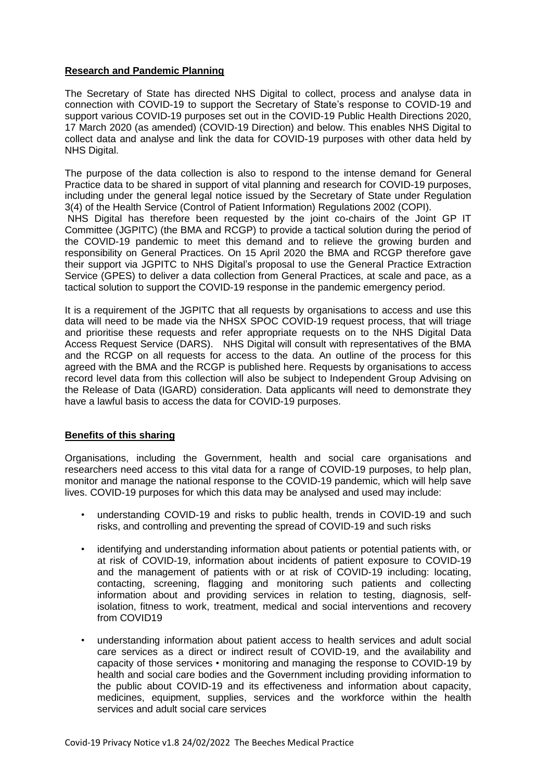## **Research and Pandemic Planning**

The Secretary of State has directed NHS Digital to collect, process and analyse data in connection with COVID-19 to support the Secretary of State's response to COVID-19 and support various COVID-19 purposes set out in the COVID-19 Public Health Directions 2020, 17 March 2020 (as amended) (COVID-19 Direction) and below. This enables NHS Digital to collect data and analyse and link the data for COVID-19 purposes with other data held by NHS Digital.

The purpose of the data collection is also to respond to the intense demand for General Practice data to be shared in support of vital planning and research for COVID-19 purposes, including under the general legal notice issued by the Secretary of State under Regulation 3(4) of the Health Service (Control of Patient Information) Regulations 2002 (COPI). NHS Digital has therefore been requested by the joint co-chairs of the Joint GP IT

Committee (JGPITC) (the BMA and RCGP) to provide a tactical solution during the period of the COVID-19 pandemic to meet this demand and to relieve the growing burden and responsibility on General Practices. On 15 April 2020 the BMA and RCGP therefore gave their support via JGPITC to NHS Digital's proposal to use the General Practice Extraction Service (GPES) to deliver a data collection from General Practices, at scale and pace, as a tactical solution to support the COVID-19 response in the pandemic emergency period.

It is a requirement of the JGPITC that all requests by organisations to access and use this data will need to be made via the NHSX SPOC COVID-19 request process, that will triage and prioritise these requests and refer appropriate requests on to the NHS Digital Data Access Request Service (DARS). NHS Digital will consult with representatives of the BMA and the RCGP on all requests for access to the data. An outline of the process for this agreed with the BMA and the RCGP is published here. Requests by organisations to access record level data from this collection will also be subject to Independent Group Advising on the Release of Data (IGARD) consideration. Data applicants will need to demonstrate they have a lawful basis to access the data for COVID-19 purposes.

#### **Benefits of this sharing**

Organisations, including the Government, health and social care organisations and researchers need access to this vital data for a range of COVID-19 purposes, to help plan, monitor and manage the national response to the COVID-19 pandemic, which will help save lives. COVID-19 purposes for which this data may be analysed and used may include:

- understanding COVID-19 and risks to public health, trends in COVID-19 and such risks, and controlling and preventing the spread of COVID-19 and such risks
- identifying and understanding information about patients or potential patients with, or at risk of COVID-19, information about incidents of patient exposure to COVID-19 and the management of patients with or at risk of COVID-19 including: locating, contacting, screening, flagging and monitoring such patients and collecting information about and providing services in relation to testing, diagnosis, selfisolation, fitness to work, treatment, medical and social interventions and recovery from COVID19
- understanding information about patient access to health services and adult social care services as a direct or indirect result of COVID-19, and the availability and capacity of those services • monitoring and managing the response to COVID-19 by health and social care bodies and the Government including providing information to the public about COVID-19 and its effectiveness and information about capacity, medicines, equipment, supplies, services and the workforce within the health services and adult social care services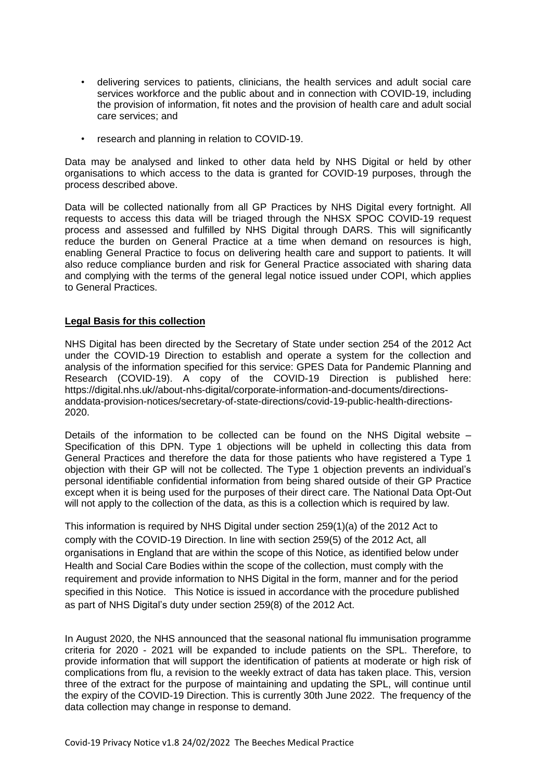- delivering services to patients, clinicians, the health services and adult social care services workforce and the public about and in connection with COVID-19, including the provision of information, fit notes and the provision of health care and adult social care services; and
- research and planning in relation to COVID-19.

Data may be analysed and linked to other data held by NHS Digital or held by other organisations to which access to the data is granted for COVID-19 purposes, through the process described above.

Data will be collected nationally from all GP Practices by NHS Digital every fortnight. All requests to access this data will be triaged through the NHSX SPOC COVID-19 request process and assessed and fulfilled by NHS Digital through DARS. This will significantly reduce the burden on General Practice at a time when demand on resources is high, enabling General Practice to focus on delivering health care and support to patients. It will also reduce compliance burden and risk for General Practice associated with sharing data and complying with the terms of the general legal notice issued under COPI, which applies to General Practices.

## **Legal Basis for this collection**

NHS Digital has been directed by the Secretary of State under section 254 of the 2012 Act under the COVID-19 Direction to establish and operate a system for the collection and analysis of the information specified for this service: GPES Data for Pandemic Planning and Research (COVID-19). A copy of the COVID-19 Direction is published here: https://digital.nhs.uk//about-nhs-digital/corporate-information-and-documents/directionsanddata-provision-notices/secretary-of-state-directions/covid-19-public-health-directions-2020.

Details of the information to be collected can be found on the NHS Digital website – Specification of this DPN. Type 1 objections will be upheld in collecting this data from General Practices and therefore the data for those patients who have registered a Type 1 objection with their GP will not be collected. The Type 1 objection prevents an individual's personal identifiable confidential information from being shared outside of their GP Practice except when it is being used for the purposes of their direct care. The National Data Opt-Out will not apply to the collection of the data, as this is a collection which is required by law.

This information is required by NHS Digital under section 259(1)(a) of the 2012 Act to comply with the COVID-19 Direction. In line with section 259(5) of the 2012 Act, all organisations in England that are within the scope of this Notice, as identified below under Health and Social Care Bodies within the scope of the collection, must comply with the requirement and provide information to NHS Digital in the form, manner and for the period specified in this Notice. This Notice is issued in accordance with the procedure published as part of NHS Digital's duty under section 259(8) of the 2012 Act.

In August 2020, the NHS announced that the seasonal national flu immunisation programme criteria for 2020 - 2021 will be expanded to include patients on the SPL. Therefore, to provide information that will support the identification of patients at moderate or high risk of complications from flu, a revision to the weekly extract of data has taken place. This, version three of the extract for the purpose of maintaining and updating the SPL, will continue until the expiry of the COVID-19 Direction. This is currently 30th June 2022. The frequency of the data collection may change in response to demand.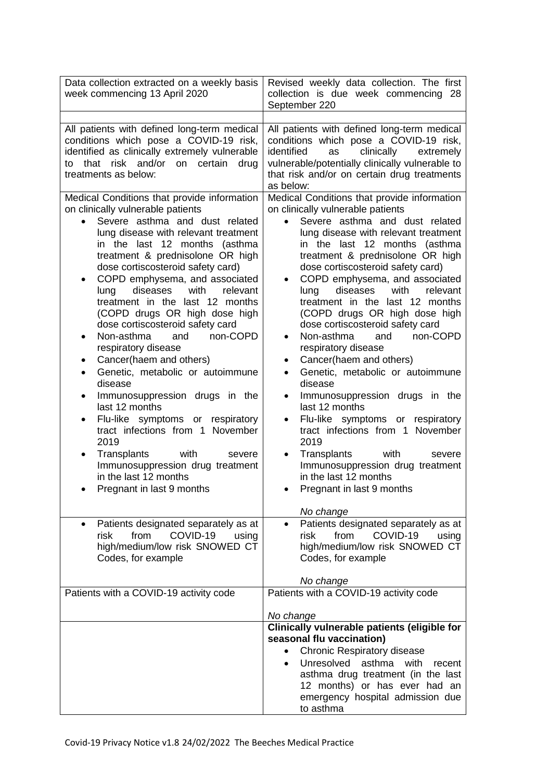| Data collection extracted on a weekly basis<br>week commencing 13 April 2020                                                                                                                                                                                                                                                                                                                                                                                                                                                                                                                                                                                                                                                                                                                                                                                                                     | Revised weekly data collection. The first<br>collection is due week commencing 28<br>September 220                                                                                                                                                                                                                                                                                                                                                                                                                                                                                                                                                                                                                                                                                                                                                                                                                                 |
|--------------------------------------------------------------------------------------------------------------------------------------------------------------------------------------------------------------------------------------------------------------------------------------------------------------------------------------------------------------------------------------------------------------------------------------------------------------------------------------------------------------------------------------------------------------------------------------------------------------------------------------------------------------------------------------------------------------------------------------------------------------------------------------------------------------------------------------------------------------------------------------------------|------------------------------------------------------------------------------------------------------------------------------------------------------------------------------------------------------------------------------------------------------------------------------------------------------------------------------------------------------------------------------------------------------------------------------------------------------------------------------------------------------------------------------------------------------------------------------------------------------------------------------------------------------------------------------------------------------------------------------------------------------------------------------------------------------------------------------------------------------------------------------------------------------------------------------------|
|                                                                                                                                                                                                                                                                                                                                                                                                                                                                                                                                                                                                                                                                                                                                                                                                                                                                                                  |                                                                                                                                                                                                                                                                                                                                                                                                                                                                                                                                                                                                                                                                                                                                                                                                                                                                                                                                    |
| All patients with defined long-term medical<br>conditions which pose a COVID-19 risk,<br>identified as clinically extremely vulnerable<br>that<br>risk and/or<br>on<br>certain<br>drug<br>to<br>treatments as below:                                                                                                                                                                                                                                                                                                                                                                                                                                                                                                                                                                                                                                                                             | All patients with defined long-term medical<br>conditions which pose a COVID-19 risk,<br>clinically<br>identified<br>as<br>extremely<br>vulnerable/potentially clinically vulnerable to<br>that risk and/or on certain drug treatments<br>as below:                                                                                                                                                                                                                                                                                                                                                                                                                                                                                                                                                                                                                                                                                |
| Medical Conditions that provide information<br>on clinically vulnerable patients<br>Severe asthma and dust related<br>lung disease with relevant treatment<br>in the last 12 months<br>(asthma<br>treatment & prednisolone OR high<br>dose cortiscosteroid safety card)<br>COPD emphysema, and associated<br>٠<br>with<br>diseases<br>relevant<br>lung<br>treatment in the last 12 months<br>(COPD drugs OR high dose high<br>dose cortiscosteroid safety card<br>Non-asthma<br>non-COPD<br>and<br>٠<br>respiratory disease<br>Cancer(haem and others)<br>٠<br>Genetic, metabolic or autoimmune<br>$\bullet$<br>disease<br>Immunosuppression drugs in the<br>٠<br>last 12 months<br>Flu-like symptoms or respiratory<br>tract infections from 1 November<br>2019<br>Transplants<br>with<br>severe<br>٠<br>Immunosuppression drug treatment<br>in the last 12 months<br>Pregnant in last 9 months | Medical Conditions that provide information<br>on clinically vulnerable patients<br>Severe asthma and dust related<br>lung disease with relevant treatment<br>in the last 12 months (asthma<br>treatment & prednisolone OR high<br>dose cortiscosteroid safety card)<br>COPD emphysema, and associated<br>diseases<br>with<br>lung<br>relevant<br>treatment in the last 12 months<br>(COPD drugs OR high dose high<br>dose cortiscosteroid safety card<br>Non-asthma<br>and<br>non-COPD<br>$\bullet$<br>respiratory disease<br>Cancer(haem and others)<br>٠<br>Genetic, metabolic or autoimmune<br>$\bullet$<br>disease<br>Immunosuppression drugs in the<br>٠<br>last 12 months<br>Flu-like symptoms or respiratory<br>$\bullet$<br>tract infections from 1 November<br>2019<br>Transplants<br>with<br>severe<br>$\bullet$<br>Immunosuppression drug treatment<br>in the last 12 months<br>Pregnant in last 9 months<br>No change |
| Patients designated separately as at<br>COVID-19<br>risk<br>from<br>using<br>high/medium/low risk SNOWED CT<br>Codes, for example                                                                                                                                                                                                                                                                                                                                                                                                                                                                                                                                                                                                                                                                                                                                                                | Patients designated separately as at<br>risk<br>from<br>COVID-19<br>using<br>high/medium/low risk SNOWED CT<br>Codes, for example<br>No change                                                                                                                                                                                                                                                                                                                                                                                                                                                                                                                                                                                                                                                                                                                                                                                     |
| Patients with a COVID-19 activity code                                                                                                                                                                                                                                                                                                                                                                                                                                                                                                                                                                                                                                                                                                                                                                                                                                                           | Patients with a COVID-19 activity code                                                                                                                                                                                                                                                                                                                                                                                                                                                                                                                                                                                                                                                                                                                                                                                                                                                                                             |
|                                                                                                                                                                                                                                                                                                                                                                                                                                                                                                                                                                                                                                                                                                                                                                                                                                                                                                  | No change                                                                                                                                                                                                                                                                                                                                                                                                                                                                                                                                                                                                                                                                                                                                                                                                                                                                                                                          |
|                                                                                                                                                                                                                                                                                                                                                                                                                                                                                                                                                                                                                                                                                                                                                                                                                                                                                                  | Clinically vulnerable patients (eligible for<br>seasonal flu vaccination)<br><b>Chronic Respiratory disease</b><br>$\bullet$<br>Unresolved<br>asthma<br>with<br>recent<br>$\bullet$<br>asthma drug treatment (in the last<br>12 months) or has ever had an<br>emergency hospital admission due<br>to asthma                                                                                                                                                                                                                                                                                                                                                                                                                                                                                                                                                                                                                        |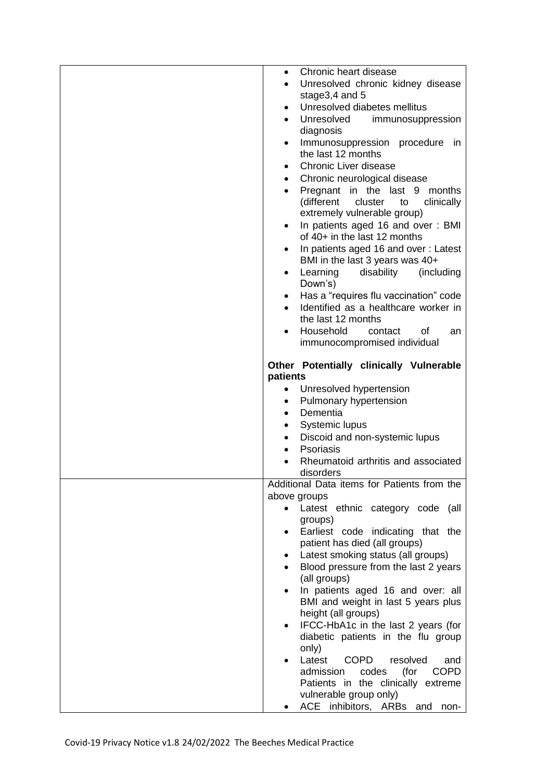| Chronic heart disease<br>$\bullet$                                            |
|-------------------------------------------------------------------------------|
| Unresolved chronic kidney disease<br>$\bullet$                                |
| stage3,4 and 5                                                                |
| Unresolved diabetes mellitus<br>$\bullet$                                     |
| Unresolved<br>immunosuppression<br>$\bullet$                                  |
| diagnosis                                                                     |
| Immunosuppression procedure in<br>$\bullet$                                   |
| the last 12 months                                                            |
| <b>Chronic Liver disease</b><br>$\bullet$                                     |
| Chronic neurological disease<br>$\bullet$                                     |
| Pregnant in the last 9 months<br>$\bullet$                                    |
| (different<br>cluster to<br>clinically                                        |
| extremely vulnerable group)                                                   |
| In patients aged 16 and over: BMI                                             |
| of 40+ in the last 12 months                                                  |
| In patients aged 16 and over: Latest<br>$\bullet$                             |
| BMI in the last 3 years was 40+                                               |
| Learning<br>disability<br>(including<br>$\bullet$                             |
| Down's)                                                                       |
| Has a "requires flu vaccination" code<br>$\bullet$                            |
| Identified as a healthcare worker in                                          |
| the last 12 months                                                            |
| Household<br>contact<br>οf<br>an<br>$\bullet$<br>immunocompromised individual |
|                                                                               |
| Other Potentially clinically Vulnerable                                       |
| patients                                                                      |
| Unresolved hypertension                                                       |
| Pulmonary hypertension<br>$\bullet$                                           |
| Dementia<br>$\bullet$                                                         |
| Systemic lupus<br>٠                                                           |
| Discoid and non-systemic lupus                                                |
| Psoriasis                                                                     |
| Rheumatoid arthritis and associated<br>$\bullet$                              |
| disorders                                                                     |
| Additional Data items for Patients from the                                   |
| above groups                                                                  |
| Latest ethnic category code (all<br>$\bullet$<br>groups)                      |
| Earliest code indicating that the<br>$\bullet$                                |
| patient has died (all groups)                                                 |
| Latest smoking status (all groups)<br>٠                                       |
| Blood pressure from the last 2 years                                          |
| (all groups)                                                                  |
|                                                                               |
| In patients aged 16 and over: all<br>$\bullet$                                |
| BMI and weight in last 5 years plus                                           |
| height (all groups)                                                           |
| IFCC-HbA1c in the last 2 years (for                                           |
| diabetic patients in the flu group                                            |
| only)                                                                         |
| Latest<br><b>COPD</b><br>resolved<br>and                                      |
| <b>COPD</b><br>(for<br>admission<br>codes                                     |
| Patients in the clinically extreme                                            |
| vulnerable group only)<br>ACE inhibitors, ARBs and<br>non-                    |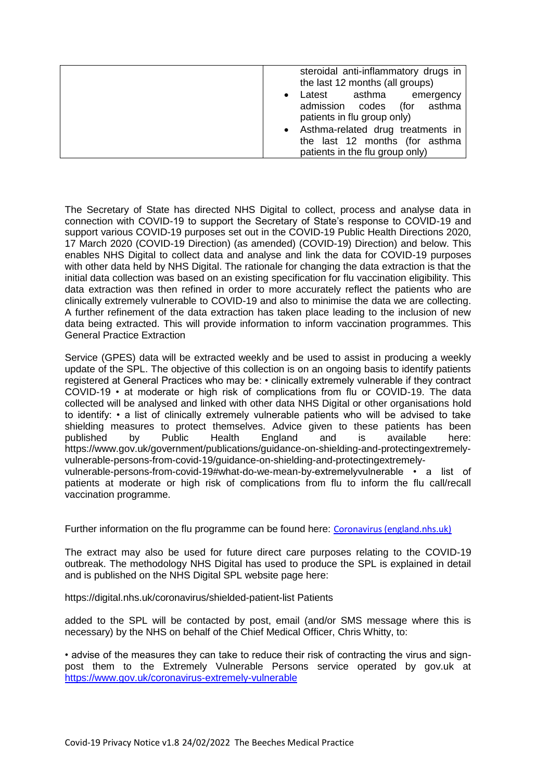| steroidal anti-inflammatory drugs in<br>the last 12 months (all groups)                                     |
|-------------------------------------------------------------------------------------------------------------|
| asthma<br>Latest<br>emergency<br>$\bullet$<br>admission codes<br>(for asthma<br>patients in flu group only) |
| • Asthma-related drug treatments in<br>the last 12 months (for asthma<br>patients in the flu group only)    |

The Secretary of State has directed NHS Digital to collect, process and analyse data in connection with COVID-19 to support the Secretary of State's response to COVID-19 and support various COVID-19 purposes set out in the COVID-19 Public Health Directions 2020, 17 March 2020 (COVID-19 Direction) (as amended) (COVID-19) Direction) and below. This enables NHS Digital to collect data and analyse and link the data for COVID-19 purposes with other data held by NHS Digital. The rationale for changing the data extraction is that the initial data collection was based on an existing specification for flu vaccination eligibility. This data extraction was then refined in order to more accurately reflect the patients who are clinically extremely vulnerable to COVID-19 and also to minimise the data we are collecting. A further refinement of the data extraction has taken place leading to the inclusion of new data being extracted. This will provide information to inform vaccination programmes. This General Practice Extraction

Service (GPES) data will be extracted weekly and be used to assist in producing a weekly update of the SPL. The objective of this collection is on an ongoing basis to identify patients registered at General Practices who may be: • clinically extremely vulnerable if they contract COVID-19 • at moderate or high risk of complications from flu or COVID-19. The data collected will be analysed and linked with other data NHS Digital or other organisations hold to identify: • a list of clinically extremely vulnerable patients who will be advised to take shielding measures to protect themselves. Advice given to these patients has been published by Public Health England and is available here: https://www.gov.uk/government/publications/guidance-on-shielding-and-protectingextremelyvulnerable-persons-from-covid-19/guidance-on-shielding-and-protectingextremely-

vulnerable-persons-from-covid-19#what-do-we-mean-by-extremelyvulnerable • a list of patients at moderate or high risk of complications from flu to inform the flu call/recall vaccination programme.

Further information on the flu programme can be found here: [Coronavirus \(england.nhs.uk\)](https://www.england.nhs.uk/coronavirus/)

The extract may also be used for future direct care purposes relating to the COVID-19 outbreak. The methodology NHS Digital has used to produce the SPL is explained in detail and is published on the NHS Digital SPL website page here:

https://digital.nhs.uk/coronavirus/shielded-patient-list Patients

added to the SPL will be contacted by post, email (and/or SMS message where this is necessary) by the NHS on behalf of the Chief Medical Officer, Chris Whitty, to:

• advise of the measures they can take to reduce their risk of contracting the virus and signpost them to the Extremely Vulnerable Persons service operated by gov.uk at <https://www.gov.uk/coronavirus-extremely-vulnerable>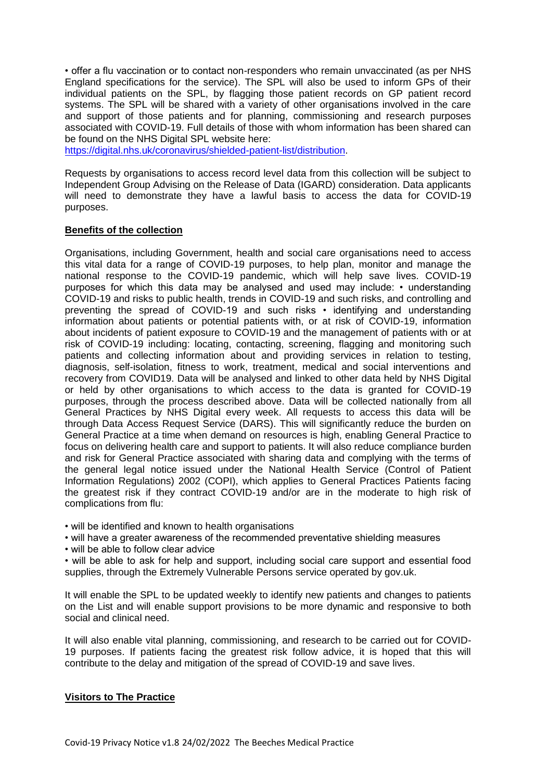• offer a flu vaccination or to contact non-responders who remain unvaccinated (as per NHS England specifications for the service). The SPL will also be used to inform GPs of their individual patients on the SPL, by flagging those patient records on GP patient record systems. The SPL will be shared with a variety of other organisations involved in the care and support of those patients and for planning, commissioning and research purposes associated with COVID-19. Full details of those with whom information has been shared can be found on the NHS Digital SPL website here:

[https://digital.nhs.uk/coronavirus/shielded-patient-list/distribution.](https://digital.nhs.uk/coronavirus/shielded-patient-list/distribution)

Requests by organisations to access record level data from this collection will be subject to Independent Group Advising on the Release of Data (IGARD) consideration. Data applicants will need to demonstrate they have a lawful basis to access the data for COVID-19 purposes.

#### **Benefits of the collection**

Organisations, including Government, health and social care organisations need to access this vital data for a range of COVID-19 purposes, to help plan, monitor and manage the national response to the COVID-19 pandemic, which will help save lives. COVID-19 purposes for which this data may be analysed and used may include: • understanding COVID-19 and risks to public health, trends in COVID-19 and such risks, and controlling and preventing the spread of COVID-19 and such risks • identifying and understanding information about patients or potential patients with, or at risk of COVID-19, information about incidents of patient exposure to COVID-19 and the management of patients with or at risk of COVID-19 including: locating, contacting, screening, flagging and monitoring such patients and collecting information about and providing services in relation to testing, diagnosis, self-isolation, fitness to work, treatment, medical and social interventions and recovery from COVID19. Data will be analysed and linked to other data held by NHS Digital or held by other organisations to which access to the data is granted for COVID-19 purposes, through the process described above. Data will be collected nationally from all General Practices by NHS Digital every week. All requests to access this data will be through Data Access Request Service (DARS). This will significantly reduce the burden on General Practice at a time when demand on resources is high, enabling General Practice to focus on delivering health care and support to patients. It will also reduce compliance burden and risk for General Practice associated with sharing data and complying with the terms of the general legal notice issued under the National Health Service (Control of Patient Information Regulations) 2002 (COPI), which applies to General Practices Patients facing the greatest risk if they contract COVID-19 and/or are in the moderate to high risk of complications from flu:

• will be identified and known to health organisations

- will have a greater awareness of the recommended preventative shielding measures
- will be able to follow clear advice

• will be able to ask for help and support, including social care support and essential food supplies, through the Extremely Vulnerable Persons service operated by gov.uk.

It will enable the SPL to be updated weekly to identify new patients and changes to patients on the List and will enable support provisions to be more dynamic and responsive to both social and clinical need.

It will also enable vital planning, commissioning, and research to be carried out for COVID-19 purposes. If patients facing the greatest risk follow advice, it is hoped that this will contribute to the delay and mitigation of the spread of COVID-19 and save lives.

#### **Visitors to The Practice**